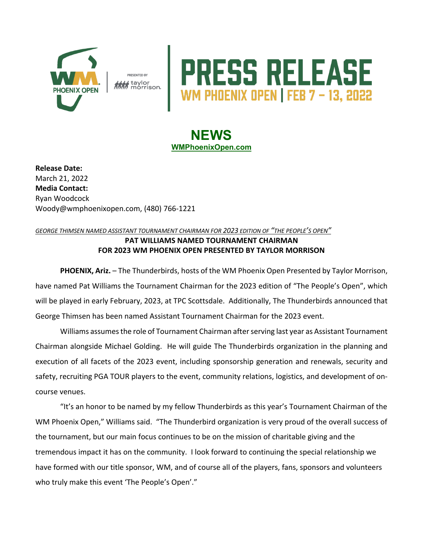

i taylor<br><sup>I</sup> morrison.

## **RESS RELEASE**

## **NEWS WMPhoenixOpen.com**

**Release Date:**  March 21, 2022 **Media Contact:** Ryan Woodcock Woody@wmphoenixopen.com, (480) 766-1221

## *GEORGE THIMSEN NAMED ASSISTANT TOURNAMENT CHAIRMAN FOR 2023 EDITION OF "THE PEOPLE'S OPEN"* **PAT WILLIAMS NAMED TOURNAMENT CHAIRMAN FOR 2023 WM PHOENIX OPEN PRESENTED BY TAYLOR MORRISON**

**PHOENIX, Ariz.** – The Thunderbirds, hosts of the WM Phoenix Open Presented by Taylor Morrison, have named Pat Williams the Tournament Chairman for the 2023 edition of "The People's Open", which will be played in early February, 2023, at TPC Scottsdale. Additionally, The Thunderbirds announced that George Thimsen has been named Assistant Tournament Chairman for the 2023 event.

Williams assumes the role of Tournament Chairman after serving last year as Assistant Tournament Chairman alongside Michael Golding. He will guide The Thunderbirds organization in the planning and execution of all facets of the 2023 event, including sponsorship generation and renewals, security and safety, recruiting PGA TOUR players to the event, community relations, logistics, and development of oncourse venues.

"It's an honor to be named by my fellow Thunderbirds as this year's Tournament Chairman of the WM Phoenix Open," Williams said. "The Thunderbird organization is very proud of the overall success of the tournament, but our main focus continues to be on the mission of charitable giving and the tremendous impact it has on the community. I look forward to continuing the special relationship we have formed with our title sponsor, WM, and of course all of the players, fans, sponsors and volunteers who truly make this event 'The People's Open'."